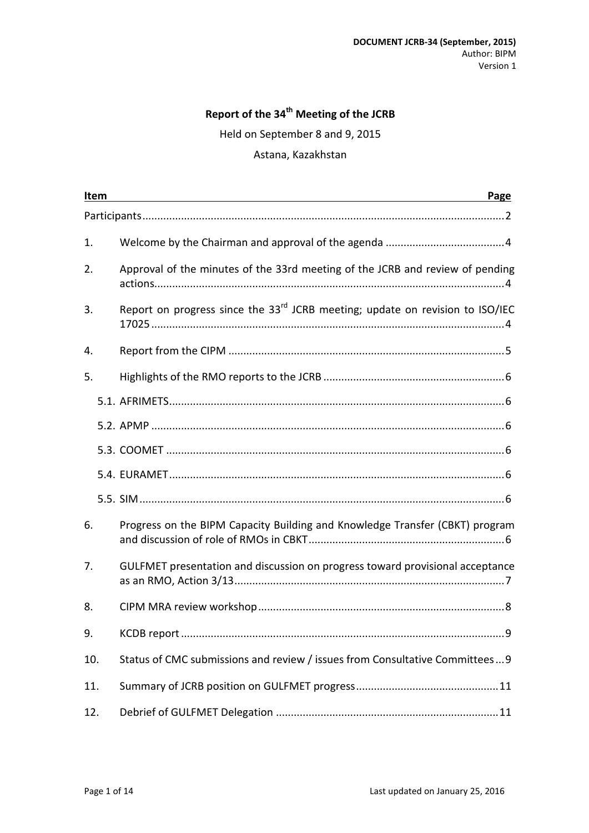# **Report of the 34th Meeting of the JCRB**

Held on September 8 and 9, 2015

#### Astana, Kazakhstan

| Item |  | Page                                                                                      |  |  |  |
|------|--|-------------------------------------------------------------------------------------------|--|--|--|
|      |  |                                                                                           |  |  |  |
| 1.   |  |                                                                                           |  |  |  |
| 2.   |  | Approval of the minutes of the 33rd meeting of the JCRB and review of pending             |  |  |  |
| 3.   |  | Report on progress since the 33 <sup>rd</sup> JCRB meeting; update on revision to ISO/IEC |  |  |  |
| 4.   |  |                                                                                           |  |  |  |
| 5.   |  |                                                                                           |  |  |  |
|      |  |                                                                                           |  |  |  |
|      |  |                                                                                           |  |  |  |
|      |  |                                                                                           |  |  |  |
|      |  |                                                                                           |  |  |  |
|      |  |                                                                                           |  |  |  |
| 6.   |  | Progress on the BIPM Capacity Building and Knowledge Transfer (CBKT) program              |  |  |  |
| 7.   |  | GULFMET presentation and discussion on progress toward provisional acceptance             |  |  |  |
| 8.   |  |                                                                                           |  |  |  |
| 9.   |  |                                                                                           |  |  |  |
| 10.  |  | Status of CMC submissions and review / issues from Consultative Committees 9              |  |  |  |
| 11.  |  |                                                                                           |  |  |  |
| 12.  |  |                                                                                           |  |  |  |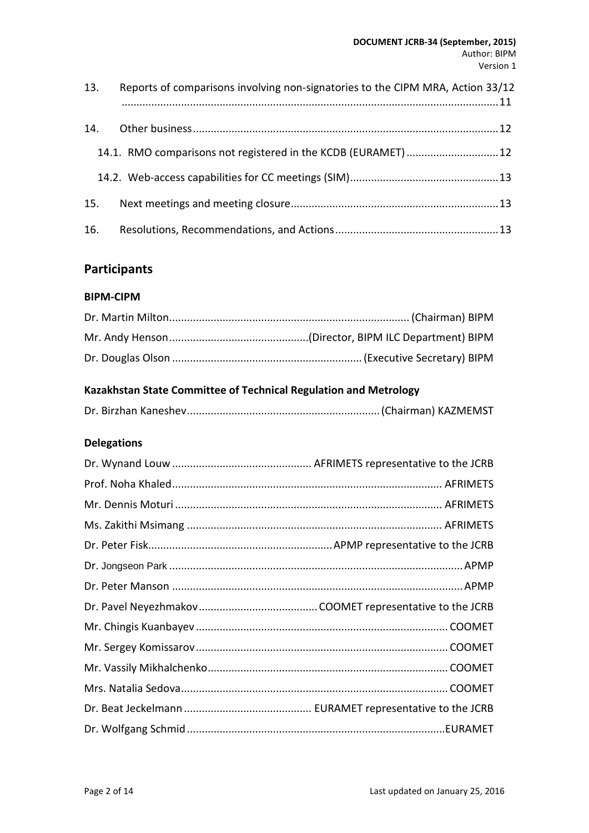| 13. | Reports of comparisons involving non-signatories to the CIPM MRA, Action 33/12 |  |
|-----|--------------------------------------------------------------------------------|--|
| 14. |                                                                                |  |
|     | 14.1. RMO comparisons not registered in the KCDB (EURAMET)  12                 |  |
|     |                                                                                |  |
| 15. |                                                                                |  |
|     |                                                                                |  |

# <span id="page-1-0"></span>**Participants**

#### **BIPM-CIPM**

# **Kazakhstan State Committee of Technical Regulation and Metrology**

|--|--|

# **Delegations**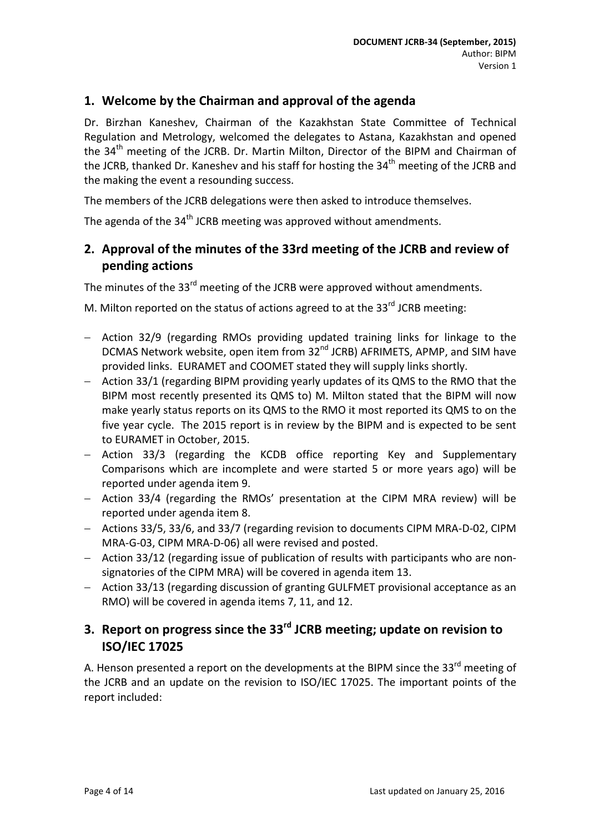## <span id="page-3-0"></span>**1. Welcome by the Chairman and approval of the agenda**

Dr. Birzhan Kaneshev, Chairman of the Kazakhstan State Committee of Technical Regulation and Metrology, welcomed the delegates to Astana, Kazakhstan and opened the  $34<sup>th</sup>$  meeting of the JCRB. Dr. Martin Milton, Director of the BIPM and Chairman of the JCRB, thanked Dr. Kaneshev and his staff for hosting the  $34<sup>th</sup>$  meeting of the JCRB and the making the event a resounding success.

The members of the JCRB delegations were then asked to introduce themselves.

The agenda of the 34<sup>th</sup> JCRB meeting was approved without amendments.

# <span id="page-3-1"></span>**2. Approval of the minutes of the 33rd meeting of the JCRB and review of pending actions**

The minutes of the 33<sup>rd</sup> meeting of the JCRB were approved without amendments.

M. Milton reported on the status of actions agreed to at the 33 $^{rd}$  JCRB meeting:

- − Action 32/9 (regarding RMOs providing updated training links for linkage to the DCMAS Network website, open item from 32<sup>nd</sup> JCRB) AFRIMETS, APMP, and SIM have provided links. EURAMET and COOMET stated they will supply links shortly.
- − Action 33/1 (regarding BIPM providing yearly updates of its QMS to the RMO that the BIPM most recently presented its QMS to) M. Milton stated that the BIPM will now make yearly status reports on its QMS to the RMO it most reported its QMS to on the five year cycle. The 2015 report is in review by the BIPM and is expected to be sent to EURAMET in October, 2015.
- − Action 33/3 (regarding the KCDB office reporting Key and Supplementary Comparisons which are incomplete and were started 5 or more years ago) will be reported under agenda item 9.
- − Action 33/4 (regarding the RMOs' presentation at the CIPM MRA review) will be reported under agenda item 8.
- − Actions 33/5, 33/6, and 33/7 (regarding revision to documents CIPM MRA-D-02, CIPM MRA-G-03, CIPM MRA-D-06) all were revised and posted.
- − Action 33/12 (regarding issue of publication of results with participants who are nonsignatories of the CIPM MRA) will be covered in agenda item 13.
- − Action 33/13 (regarding discussion of granting GULFMET provisional acceptance as an RMO) will be covered in agenda items 7, 11, and 12.

# <span id="page-3-2"></span>**3. Report on progress since the 33rd JCRB meeting; update on revision to ISO/IEC 17025**

A. Henson presented a report on the developments at the BIPM since the 33 $^{\text{rd}}$  meeting of the JCRB and an update on the revision to ISO/IEC 17025. The important points of the report included: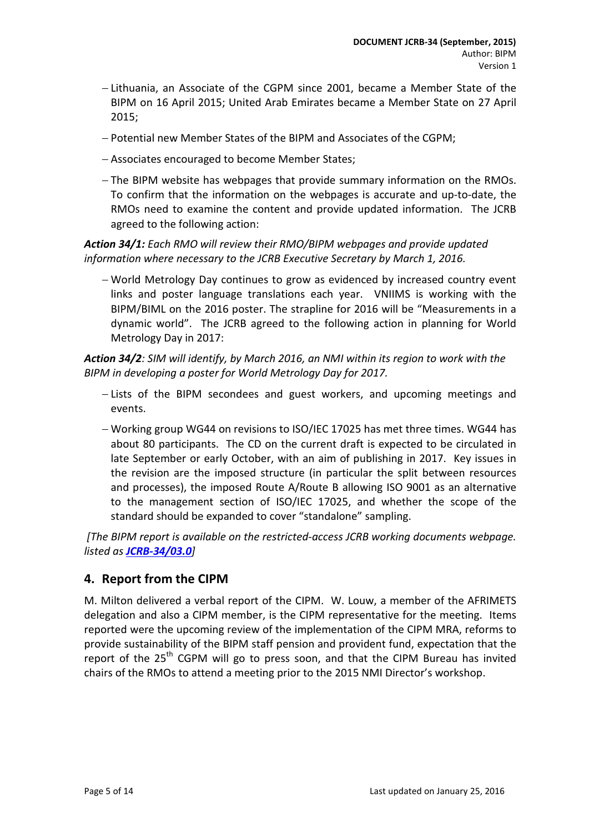- − Lithuania, an Associate of the CGPM since 2001, became a Member State of the BIPM on 16 April 2015; United Arab Emirates became a Member State on 27 April 2015;
- − Potential new Member States of the BIPM and Associates of the CGPM;
- − Associates encouraged to become Member States;
- − The BIPM website has webpages that provide summary information on the RMOs. To confirm that the information on the webpages is accurate and up-to-date, the RMOs need to examine the content and provide updated information. The JCRB agreed to the following action:

*Action 34/1: Each RMO will review their RMO/BIPM webpages and provide updated information where necessary to the JCRB Executive Secretary by March 1, 2016.*

− World Metrology Day continues to grow as evidenced by increased country event links and poster language translations each year. VNIIMS is working with the BIPM/BIML on the 2016 poster. The strapline for 2016 will be "Measurements in a dynamic world". The JCRB agreed to the following action in planning for World Metrology Day in 2017:

*Action 34/2: SIM will identify, by March 2016, an NMI within its region to work with the BIPM in developing a poster for World Metrology Day for 2017.*

- − Lists of the BIPM secondees and guest workers, and upcoming meetings and events.
- − Working group WG44 on revisions to ISO/IEC 17025 has met three times. WG44 has about 80 participants. The CD on the current draft is expected to be circulated in late September or early October, with an aim of publishing in 2017. Key issues in the revision are the imposed structure (in particular the split between resources and processes), the imposed Route A/Route B allowing ISO 9001 as an alternative to the management section of ISO/IEC 17025, and whether the scope of the standard should be expanded to cover "standalone" sampling.

*[The BIPM report is available on the restricted-access JCRB working documents webpage. listed as [JCRB-34/03.0](http://www.bipm.org/cc/JCRB/Restricted/34/34-03_Report_Progress.pdf)]*

## <span id="page-4-0"></span>**4. Report from the CIPM**

M. Milton delivered a verbal report of the CIPM. W. Louw, a member of the AFRIMETS delegation and also a CIPM member, is the CIPM representative for the meeting. Items reported were the upcoming review of the implementation of the CIPM MRA, reforms to provide sustainability of the BIPM staff pension and provident fund, expectation that the report of the 25<sup>th</sup> CGPM will go to press soon, and that the CIPM Bureau has invited chairs of the RMOs to attend a meeting prior to the 2015 NMI Director's workshop.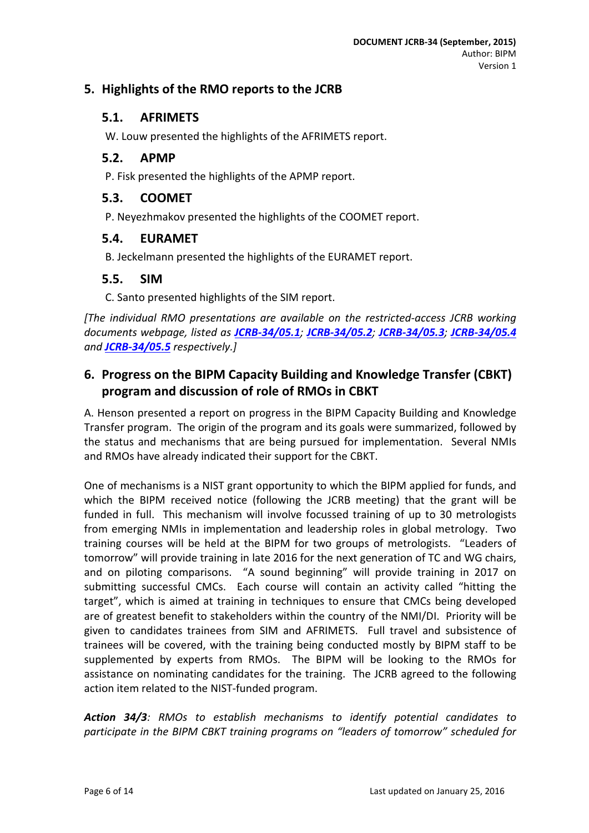# <span id="page-5-1"></span><span id="page-5-0"></span>**5. Highlights of the RMO reports to the JCRB**

### **5.1. AFRIMETS**

W. Louw presented the highlights of the AFRIMETS report.

#### <span id="page-5-2"></span>**5.2. APMP**

P. Fisk presented the highlights of the APMP report.

#### <span id="page-5-3"></span>**5.3. COOMET**

P. Neyezhmakov presented the highlights of the COOMET report.

#### <span id="page-5-4"></span>**5.4. EURAMET**

B. Jeckelmann presented the highlights of the EURAMET report.

#### <span id="page-5-5"></span>**5.5. SIM**

C. Santo presented highlights of the SIM report.

*[The individual RMO presentations are available on the restricted-access JCRB working documents webpage, listed as [JCRB-34/05.1](http://www.bipm.org/cc/JCRB/Restricted/34/AFRIMETS_Report_34th_JCRB_2015.doc); [JCRB-34/05.2](http://www.bipm.org/cc/JCRB/Restricted/34/APMP_report_for_JCRB.pdf); [JCRB-34/05.3](http://www.bipm.org/cc/JCRB/Restricted/34/JCRB_34_COOMET_Report.pdf); [JCRB-34/05.4](http://www.bipm.org/cc/JCRB/Restricted/34/EURAMET-Report_34th-JCRB_150831.pdf) and [JCRB-34/05.5](http://www.bipm.org/cc/JCRB/Restricted/34/presentacionSIM.ppt) respectively.]*

# <span id="page-5-6"></span>**6. Progress on the BIPM Capacity Building and Knowledge Transfer (CBKT) program and discussion of role of RMOs in CBKT**

A. Henson presented a report on progress in the BIPM Capacity Building and Knowledge Transfer program. The origin of the program and its goals were summarized, followed by the status and mechanisms that are being pursued for implementation. Several NMIs and RMOs have already indicated their support for the CBKT.

One of mechanisms is a NIST grant opportunity to which the BIPM applied for funds, and which the BIPM received notice (following the JCRB meeting) that the grant will be funded in full. This mechanism will involve focussed training of up to 30 metrologists from emerging NMIs in implementation and leadership roles in global metrology. Two training courses will be held at the BIPM for two groups of metrologists. "Leaders of tomorrow" will provide training in late 2016 for the next generation of TC and WG chairs, and on piloting comparisons. "A sound beginning" will provide training in 2017 on submitting successful CMCs. Each course will contain an activity called "hitting the target", which is aimed at training in techniques to ensure that CMCs being developed are of greatest benefit to stakeholders within the country of the NMI/DI. Priority will be given to candidates trainees from SIM and AFRIMETS. Full travel and subsistence of trainees will be covered, with the training being conducted mostly by BIPM staff to be supplemented by experts from RMOs. The BIPM will be looking to the RMOs for assistance on nominating candidates for the training. The JCRB agreed to the following action item related to the NIST-funded program.

*Action 34/3: RMOs to establish mechanisms to identify potential candidates to participate in the BIPM CBKT training programs on "leaders of tomorrow" scheduled for*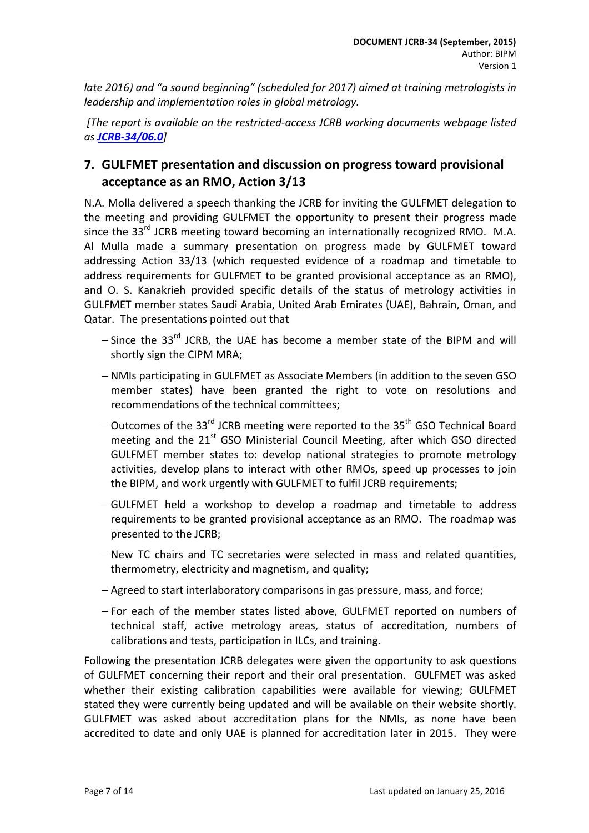*late 2016) and "a sound beginning" (scheduled for 2017) aimed at training metrologists in leadership and implementation roles in global metrology.*

*[The report is available on the restricted-access JCRB working documents webpage listed as [JCRB-34/06.0](http://www.bipm.org/cc/JCRB/Restricted/34/34-06_BIPM_CBKT.pdf)]*

# <span id="page-6-0"></span>**7. GULFMET presentation and discussion on progress toward provisional acceptance as an RMO, Action 3/13**

N.A. Molla delivered a speech thanking the JCRB for inviting the GULFMET delegation to the meeting and providing GULFMET the opportunity to present their progress made since the  $33<sup>rd</sup>$  JCRB meeting toward becoming an internationally recognized RMO. M.A. Al Mulla made a summary presentation on progress made by GULFMET toward addressing Action 33/13 (which requested evidence of a roadmap and timetable to address requirements for GULFMET to be granted provisional acceptance as an RMO), and O. S. Kanakrieh provided specific details of the status of metrology activities in GULFMET member states Saudi Arabia, United Arab Emirates (UAE), Bahrain, Oman, and Qatar. The presentations pointed out that

- − Since the 33<sup>rd</sup> JCRB, the UAE has become a member state of the BIPM and will shortly sign the CIPM MRA;
- − NMIs participating in GULFMET as Associate Members (in addition to the seven GSO member states) have been granted the right to vote on resolutions and recommendations of the technical committees;
- − Outcomes of the 33<sup>rd</sup> JCRB meeting were reported to the 35<sup>th</sup> GSO Technical Board meeting and the  $21<sup>st</sup>$  GSO Ministerial Council Meeting, after which GSO directed GULFMET member states to: develop national strategies to promote metrology activities, develop plans to interact with other RMOs, speed up processes to join the BIPM, and work urgently with GULFMET to fulfil JCRB requirements;
- − GULFMET held a workshop to develop a roadmap and timetable to address requirements to be granted provisional acceptance as an RMO. The roadmap was presented to the JCRB;
- − New TC chairs and TC secretaries were selected in mass and related quantities, thermometry, electricity and magnetism, and quality;
- − Agreed to start interlaboratory comparisons in gas pressure, mass, and force;
- − For each of the member states listed above, GULFMET reported on numbers of technical staff, active metrology areas, status of accreditation, numbers of calibrations and tests, participation in ILCs, and training.

Following the presentation JCRB delegates were given the opportunity to ask questions of GULFMET concerning their report and their oral presentation. GULFMET was asked whether their existing calibration capabilities were available for viewing; GULFMET stated they were currently being updated and will be available on their website shortly. GULFMET was asked about accreditation plans for the NMIs, as none have been accredited to date and only UAE is planned for accreditation later in 2015. They were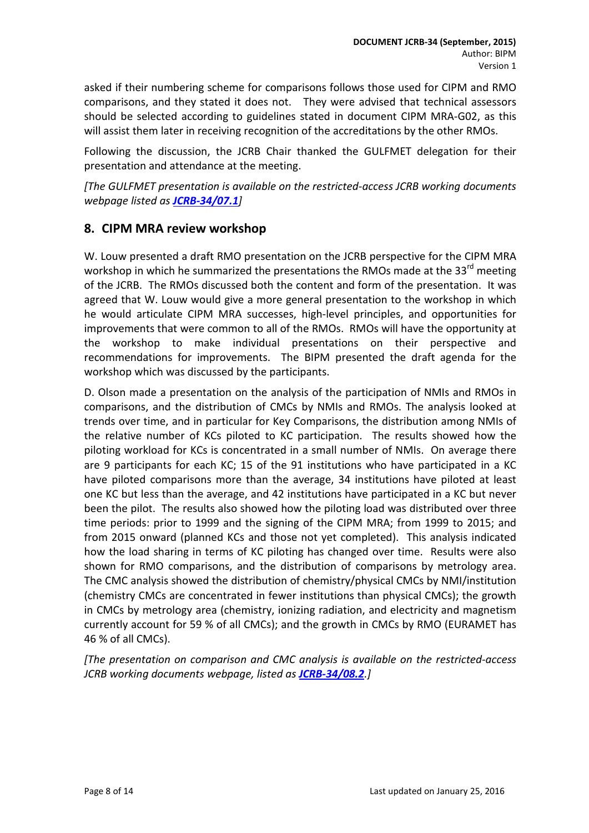asked if their numbering scheme for comparisons follows those used for CIPM and RMO comparisons, and they stated it does not. They were advised that technical assessors should be selected according to guidelines stated in document CIPM MRA-G02, as this will assist them later in receiving recognition of the accreditations by the other RMOs.

Following the discussion, the JCRB Chair thanked the GULFMET delegation for their presentation and attendance at the meeting.

*[The GULFMET presentation is available on the restricted-access JCRB working documents webpage listed as [JCRB-34/07.1](http://www.bipm.org/cc/JCRB/Restricted/34/GULFMET_Progress_Report_2015_march_sep.ppt)]*

# <span id="page-7-0"></span>**8. CIPM MRA review workshop**

W. Louw presented a draft RMO presentation on the JCRB perspective for the CIPM MRA workshop in which he summarized the presentations the RMOs made at the 33<sup>rd</sup> meeting of the JCRB. The RMOs discussed both the content and form of the presentation. It was agreed that W. Louw would give a more general presentation to the workshop in which he would articulate CIPM MRA successes, high-level principles, and opportunities for improvements that were common to all of the RMOs. RMOs will have the opportunity at the workshop to make individual presentations on their perspective and recommendations for improvements. The BIPM presented the draft agenda for the workshop which was discussed by the participants.

D. Olson made a presentation on the analysis of the participation of NMIs and RMOs in comparisons, and the distribution of CMCs by NMIs and RMOs. The analysis looked at trends over time, and in particular for Key Comparisons, the distribution among NMIs of the relative number of KCs piloted to KC participation. The results showed how the piloting workload for KCs is concentrated in a small number of NMIs. On average there are 9 participants for each KC; 15 of the 91 institutions who have participated in a KC have piloted comparisons more than the average, 34 institutions have piloted at least one KC but less than the average, and 42 institutions have participated in a KC but never been the pilot. The results also showed how the piloting load was distributed over three time periods: prior to 1999 and the signing of the CIPM MRA; from 1999 to 2015; and from 2015 onward (planned KCs and those not yet completed). This analysis indicated how the load sharing in terms of KC piloting has changed over time. Results were also shown for RMO comparisons, and the distribution of comparisons by metrology area. The CMC analysis showed the distribution of chemistry/physical CMCs by NMI/institution (chemistry CMCs are concentrated in fewer institutions than physical CMCs); the growth in CMCs by metrology area (chemistry, ionizing radiation, and electricity and magnetism currently account for 59 % of all CMCs); and the growth in CMCs by RMO (EURAMET has 46 % of all CMCs).

*[The presentation on comparison and CMC analysis is available on the restricted-access JCRB working documents webpage, listed as [JCRB-34/08.2](http://www.bipm.org/cc/JCRB/Restricted/34/34-08.2_KC_Participation_CMCs.pdf).]*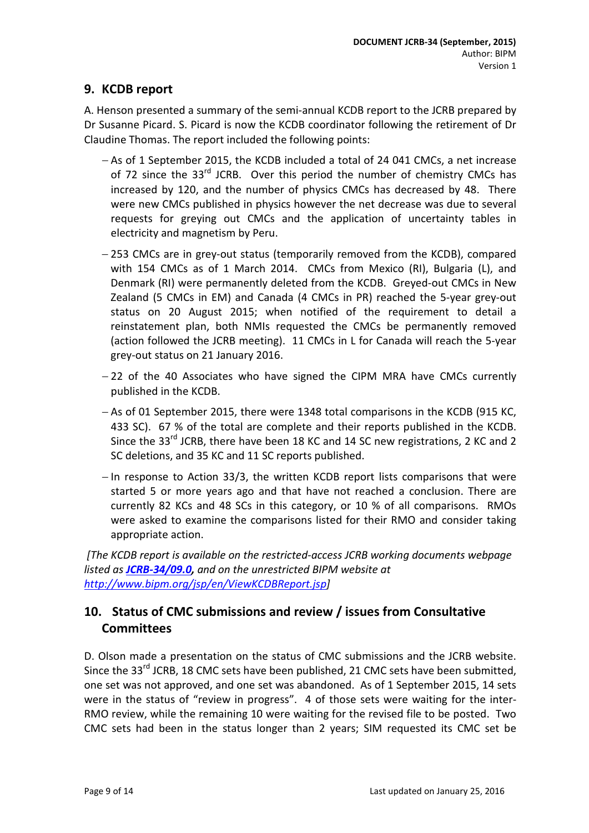# <span id="page-8-0"></span>**9. KCDB report**

A. Henson presented a summary of the semi-annual KCDB report to the JCRB prepared by Dr Susanne Picard. S. Picard is now the KCDB coordinator following the retirement of Dr Claudine Thomas. The report included the following points:

- − As of 1 September 2015, the KCDB included a total of 24 041 CMCs, a net increase of 72 since the 33<sup>rd</sup> JCRB. Over this period the number of chemistry CMCs has increased by 120, and the number of physics CMCs has decreased by 48. There were new CMCs published in physics however the net decrease was due to several requests for greying out CMCs and the application of uncertainty tables in electricity and magnetism by Peru.
- − 253 CMCs are in grey-out status (temporarily removed from the KCDB), compared with 154 CMCs as of 1 March 2014. CMCs from Mexico (RI), Bulgaria (L), and Denmark (RI) were permanently deleted from the KCDB. Greyed-out CMCs in New Zealand (5 CMCs in EM) and Canada (4 CMCs in PR) reached the 5-year grey-out status on 20 August 2015; when notified of the requirement to detail a reinstatement plan, both NMIs requested the CMCs be permanently removed (action followed the JCRB meeting). 11 CMCs in L for Canada will reach the 5-year grey-out status on 21 January 2016.
- − 22 of the 40 Associates who have signed the CIPM MRA have CMCs currently published in the KCDB.
- − As of 01 September 2015, there were 1348 total comparisons in the KCDB (915 KC, 433 SC). 67 % of the total are complete and their reports published in the KCDB. Since the 33<sup>rd</sup> JCRB, there have been 18 KC and 14 SC new registrations, 2 KC and 2 SC deletions, and 35 KC and 11 SC reports published.
- − In response to Action 33/3, the written KCDB report lists comparisons that were started 5 or more years ago and that have not reached a conclusion. There are currently 82 KCs and 48 SCs in this category, or 10 % of all comparisons. RMOs were asked to examine the comparisons listed for their RMO and consider taking appropriate action.

*[The KCDB report is available on the restricted-access JCRB working documents webpage listed as [JCRB-34/09.0,](http://www.bipm.org/cc/JCRB/Restricted/34/KCDB_Report_to_34th_JCRB.pdf) and on the unrestricted BIPM website at [http://www.bipm.org/jsp/en/ViewKCDBReport.jsp\]](http://www.bipm.org/jsp/en/ViewKCDBReport.jsp)*

# <span id="page-8-1"></span>**10. Status of CMC submissions and review / issues from Consultative Committees**

D. Olson made a presentation on the status of CMC submissions and the JCRB website. Since the 33<sup>rd</sup> JCRB, 18 CMC sets have been published, 21 CMC sets have been submitted, one set was not approved, and one set was abandoned. As of 1 September 2015, 14 sets were in the status of "review in progress". 4 of those sets were waiting for the inter-RMO review, while the remaining 10 were waiting for the revised file to be posted. Two CMC sets had been in the status longer than 2 years; SIM requested its CMC set be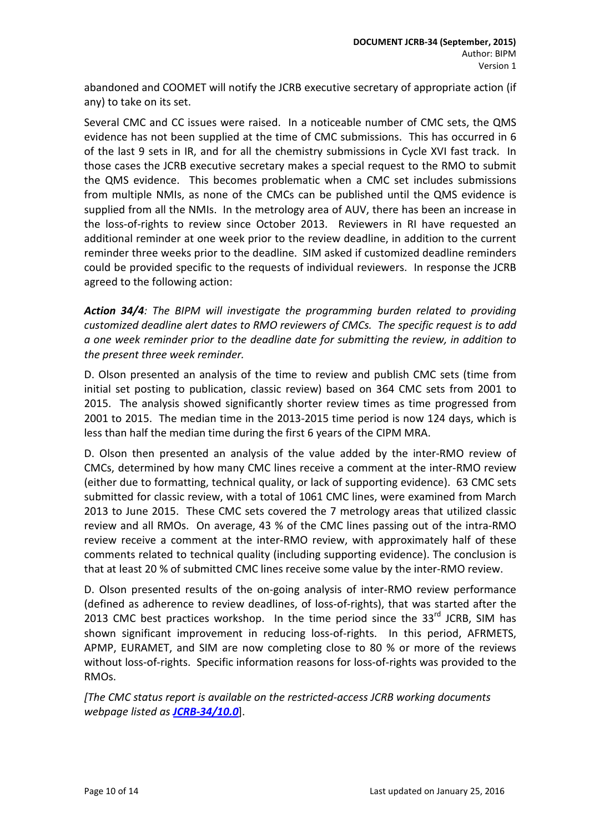abandoned and COOMET will notify the JCRB executive secretary of appropriate action (if any) to take on its set.

Several CMC and CC issues were raised. In a noticeable number of CMC sets, the QMS evidence has not been supplied at the time of CMC submissions. This has occurred in 6 of the last 9 sets in IR, and for all the chemistry submissions in Cycle XVI fast track. In those cases the JCRB executive secretary makes a special request to the RMO to submit the QMS evidence. This becomes problematic when a CMC set includes submissions from multiple NMIs, as none of the CMCs can be published until the QMS evidence is supplied from all the NMIs. In the metrology area of AUV, there has been an increase in the loss-of-rights to review since October 2013. Reviewers in RI have requested an additional reminder at one week prior to the review deadline, in addition to the current reminder three weeks prior to the deadline. SIM asked if customized deadline reminders could be provided specific to the requests of individual reviewers. In response the JCRB agreed to the following action:

*Action 34/4: The BIPM will investigate the programming burden related to providing customized deadline alert dates to RMO reviewers of CMCs. The specific request is to add a one week reminder prior to the deadline date for submitting the review, in addition to the present three week reminder.*

D. Olson presented an analysis of the time to review and publish CMC sets (time from initial set posting to publication, classic review) based on 364 CMC sets from 2001 to 2015. The analysis showed significantly shorter review times as time progressed from 2001 to 2015. The median time in the 2013-2015 time period is now 124 days, which is less than half the median time during the first 6 years of the CIPM MRA.

D. Olson then presented an analysis of the value added by the inter-RMO review of CMCs, determined by how many CMC lines receive a comment at the inter-RMO review (either due to formatting, technical quality, or lack of supporting evidence). 63 CMC sets submitted for classic review, with a total of 1061 CMC lines, were examined from March 2013 to June 2015. These CMC sets covered the 7 metrology areas that utilized classic review and all RMOs. On average, 43 % of the CMC lines passing out of the intra-RMO review receive a comment at the inter-RMO review, with approximately half of these comments related to technical quality (including supporting evidence). The conclusion is that at least 20 % of submitted CMC lines receive some value by the inter-RMO review.

D. Olson presented results of the on-going analysis of inter-RMO review performance (defined as adherence to review deadlines, of loss-of-rights), that was started after the 2013 CMC best practices workshop. In the time period since the  $33<sup>rd</sup>$  JCRB, SIM has shown significant improvement in reducing loss-of-rights. In this period, AFRMETS, APMP, EURAMET, and SIM are now completing close to 80 % or more of the reviews without loss-of-rights. Specific information reasons for loss-of-rights was provided to the RMOs.

*[The CMC status report is available on the restricted-access JCRB working documents webpage listed as [JCRB-34/10.0](http://www.bipm.org/cc/JCRB/Restricted/34/34-10_Status_of_CMCs.pdf)*].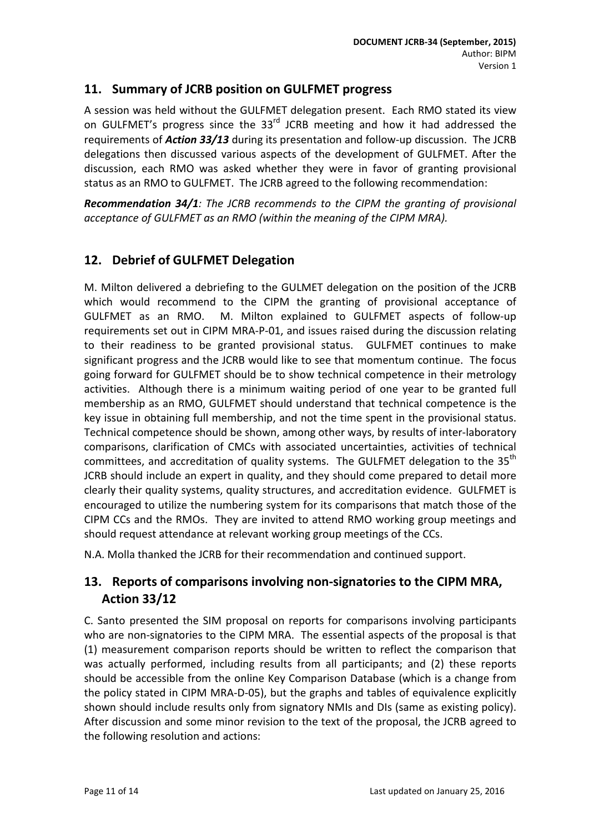# <span id="page-10-0"></span>**11. Summary of JCRB position on GULFMET progress**

A session was held without the GULFMET delegation present. Each RMO stated its view on GULFMET's progress since the  $33<sup>rd</sup>$  JCRB meeting and how it had addressed the requirements of *Action 33/13* during its presentation and follow-up discussion. The JCRB delegations then discussed various aspects of the development of GULFMET. After the discussion, each RMO was asked whether they were in favor of granting provisional status as an RMO to GULFMET. The JCRB agreed to the following recommendation:

*Recommendation 34/1: The JCRB recommends to the CIPM the granting of provisional acceptance of GULFMET as an RMO (within the meaning of the CIPM MRA).*

# <span id="page-10-1"></span>**12. Debrief of GULFMET Delegation**

M. Milton delivered a debriefing to the GULMET delegation on the position of the JCRB which would recommend to the CIPM the granting of provisional acceptance of GULFMET as an RMO. M. Milton explained to GULFMET aspects of follow-up requirements set out in CIPM MRA-P-01, and issues raised during the discussion relating to their readiness to be granted provisional status. GULFMET continues to make significant progress and the JCRB would like to see that momentum continue. The focus going forward for GULFMET should be to show technical competence in their metrology activities. Although there is a minimum waiting period of one year to be granted full membership as an RMO, GULFMET should understand that technical competence is the key issue in obtaining full membership, and not the time spent in the provisional status. Technical competence should be shown, among other ways, by results of inter-laboratory comparisons, clarification of CMCs with associated uncertainties, activities of technical committees, and accreditation of quality systems. The GULFMET delegation to the 35<sup>th</sup> JCRB should include an expert in quality, and they should come prepared to detail more clearly their quality systems, quality structures, and accreditation evidence. GULFMET is encouraged to utilize the numbering system for its comparisons that match those of the CIPM CCs and the RMOs. They are invited to attend RMO working group meetings and should request attendance at relevant working group meetings of the CCs.

<span id="page-10-2"></span>N.A. Molla thanked the JCRB for their recommendation and continued support.

# **13. Reports of comparisons involving non-signatories to the CIPM MRA, Action 33/12**

C. Santo presented the SIM proposal on reports for comparisons involving participants who are non-signatories to the CIPM MRA. The essential aspects of the proposal is that (1) measurement comparison reports should be written to reflect the comparison that was actually performed, including results from all participants; and (2) these reports should be accessible from the online Key Comparison Database (which is a change from the policy stated in CIPM MRA-D-05), but the graphs and tables of equivalence explicitly shown should include results only from signatory NMIs and DIs (same as existing policy). After discussion and some minor revision to the text of the proposal, the JCRB agreed to the following resolution and actions: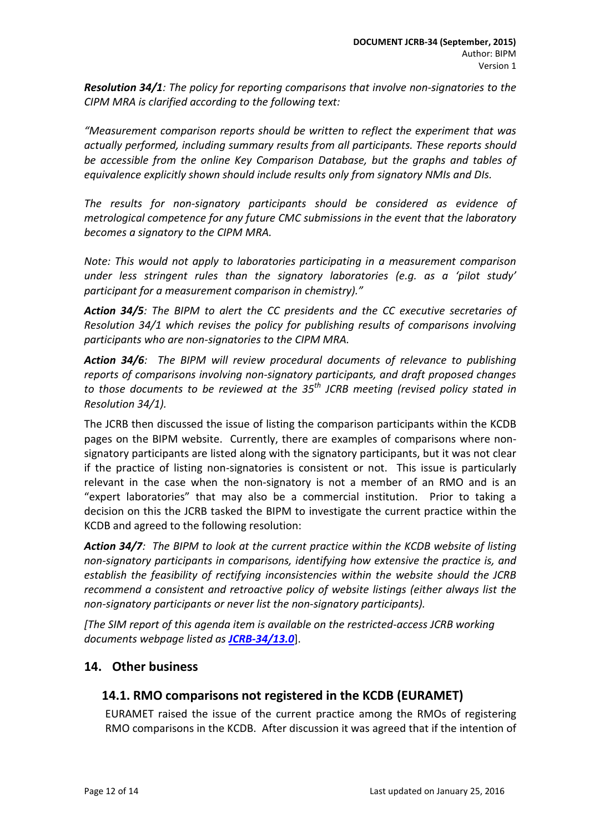*Resolution 34/1: The policy for reporting comparisons that involve non-signatories to the CIPM MRA is clarified according to the following text:*

*"Measurement comparison reports should be written to reflect the experiment that was actually performed, including summary results from all participants. These reports should be accessible from the online Key Comparison Database, but the graphs and tables of equivalence explicitly shown should include results only from signatory NMIs and DIs.* 

*The results for non-signatory participants should be considered as evidence of metrological competence for any future CMC submissions in the event that the laboratory becomes a signatory to the CIPM MRA.* 

*Note: This would not apply to laboratories participating in a measurement comparison under less stringent rules than the signatory laboratories (e.g. as a 'pilot study' participant for a measurement comparison in chemistry)."*

*Action 34/5: The BIPM to alert the CC presidents and the CC executive secretaries of Resolution 34/1 which revises the policy for publishing results of comparisons involving participants who are non-signatories to the CIPM MRA.*

*Action 34/6: The BIPM will review procedural documents of relevance to publishing reports of comparisons involving non-signatory participants, and draft proposed changes to those documents to be reviewed at the 35th JCRB meeting (revised policy stated in Resolution 34/1).*

The JCRB then discussed the issue of listing the comparison participants within the KCDB pages on the BIPM website. Currently, there are examples of comparisons where nonsignatory participants are listed along with the signatory participants, but it was not clear if the practice of listing non-signatories is consistent or not. This issue is particularly relevant in the case when the non-signatory is not a member of an RMO and is an "expert laboratories" that may also be a commercial institution. Prior to taking a decision on this the JCRB tasked the BIPM to investigate the current practice within the KCDB and agreed to the following resolution:

*Action 34/7: The BIPM to look at the current practice within the KCDB website of listing non-signatory participants in comparisons, identifying how extensive the practice is, and establish the feasibility of rectifying inconsistencies within the website should the JCRB recommend a consistent and retroactive policy of website listings (either always list the non-signatory participants or never list the non-signatory participants).* 

*[The SIM report of this agenda item is available on the restricted-access JCRB working documents webpage listed as [JCRB-34/13.0](http://www.bipm.org/cc/JCRB/Restricted/34/34-13.0_SIM_Reports_Comparions.docx)*].

## <span id="page-11-1"></span><span id="page-11-0"></span>**14. Other business**

## **14.1. RMO comparisons not registered in the KCDB (EURAMET)**

EURAMET raised the issue of the current practice among the RMOs of registering RMO comparisons in the KCDB. After discussion it was agreed that if the intention of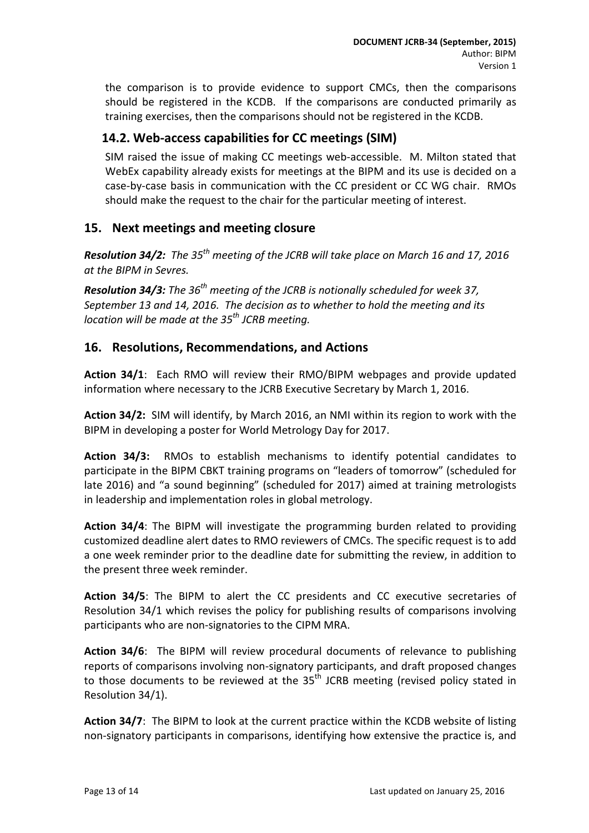the comparison is to provide evidence to support CMCs, then the comparisons should be registered in the KCDB. If the comparisons are conducted primarily as training exercises, then the comparisons should not be registered in the KCDB.

# <span id="page-12-0"></span>**14.2. Web-access capabilities for CC meetings (SIM)**

SIM raised the issue of making CC meetings web-accessible. M. Milton stated that WebEx capability already exists for meetings at the BIPM and its use is decided on a case-by-case basis in communication with the CC president or CC WG chair. RMOs should make the request to the chair for the particular meeting of interest.

# <span id="page-12-1"></span>**15. Next meetings and meeting closure**

*Resolution 34/2: The 35th meeting of the JCRB will take place on March 16 and 17, 2016 at the BIPM in Sevres.*

*Resolution 34/3: The 36th meeting of the JCRB is notionally scheduled for week 37, September 13 and 14, 2016. The decision as to whether to hold the meeting and its location will be made at the 35th JCRB meeting.*

## <span id="page-12-2"></span>**16. Resolutions, Recommendations, and Actions**

**Action 34/1**: Each RMO will review their RMO/BIPM webpages and provide updated information where necessary to the JCRB Executive Secretary by March 1, 2016.

**Action 34/2:** SIM will identify, by March 2016, an NMI within its region to work with the BIPM in developing a poster for World Metrology Day for 2017.

**Action 34/3:** RMOs to establish mechanisms to identify potential candidates to participate in the BIPM CBKT training programs on "leaders of tomorrow" (scheduled for late 2016) and "a sound beginning" (scheduled for 2017) aimed at training metrologists in leadership and implementation roles in global metrology.

**Action 34/4**: The BIPM will investigate the programming burden related to providing customized deadline alert dates to RMO reviewers of CMCs. The specific request is to add a one week reminder prior to the deadline date for submitting the review, in addition to the present three week reminder.

**Action 34/5**: The BIPM to alert the CC presidents and CC executive secretaries of Resolution 34/1 which revises the policy for publishing results of comparisons involving participants who are non-signatories to the CIPM MRA.

**Action 34/6**: The BIPM will review procedural documents of relevance to publishing reports of comparisons involving non-signatory participants, and draft proposed changes to those documents to be reviewed at the 35<sup>th</sup> JCRB meeting (revised policy stated in Resolution 34/1).

**Action 34/7**: The BIPM to look at the current practice within the KCDB website of listing non-signatory participants in comparisons, identifying how extensive the practice is, and